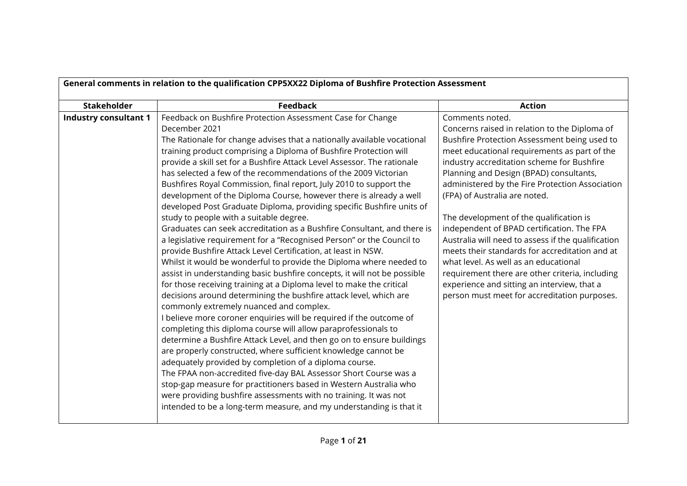| General comments in relation to the qualification CPP5XX22 Diploma of Bushfire Protection Assessment |                                                                                                                                                                                                                                                                                                                                                                                                                                                                                                                                                                                                                                                                                                                                                                                                                                                                                                                                                                                                                                                                                                                                                                                                                                                                                                                                                                                                                                                                                                                                                                                                                                                                                                                                                                                                                                             |                                                                                                                                                                                                                                                                                                                                                                                                                                                                                                                                                                                                                                                                                                                                           |
|------------------------------------------------------------------------------------------------------|---------------------------------------------------------------------------------------------------------------------------------------------------------------------------------------------------------------------------------------------------------------------------------------------------------------------------------------------------------------------------------------------------------------------------------------------------------------------------------------------------------------------------------------------------------------------------------------------------------------------------------------------------------------------------------------------------------------------------------------------------------------------------------------------------------------------------------------------------------------------------------------------------------------------------------------------------------------------------------------------------------------------------------------------------------------------------------------------------------------------------------------------------------------------------------------------------------------------------------------------------------------------------------------------------------------------------------------------------------------------------------------------------------------------------------------------------------------------------------------------------------------------------------------------------------------------------------------------------------------------------------------------------------------------------------------------------------------------------------------------------------------------------------------------------------------------------------------------|-------------------------------------------------------------------------------------------------------------------------------------------------------------------------------------------------------------------------------------------------------------------------------------------------------------------------------------------------------------------------------------------------------------------------------------------------------------------------------------------------------------------------------------------------------------------------------------------------------------------------------------------------------------------------------------------------------------------------------------------|
| <b>Stakeholder</b>                                                                                   | <b>Feedback</b>                                                                                                                                                                                                                                                                                                                                                                                                                                                                                                                                                                                                                                                                                                                                                                                                                                                                                                                                                                                                                                                                                                                                                                                                                                                                                                                                                                                                                                                                                                                                                                                                                                                                                                                                                                                                                             | <b>Action</b>                                                                                                                                                                                                                                                                                                                                                                                                                                                                                                                                                                                                                                                                                                                             |
| <b>Industry consultant 1</b>                                                                         | Feedback on Bushfire Protection Assessment Case for Change<br>December 2021<br>The Rationale for change advises that a nationally available vocational<br>training product comprising a Diploma of Bushfire Protection will<br>provide a skill set for a Bushfire Attack Level Assessor. The rationale<br>has selected a few of the recommendations of the 2009 Victorian<br>Bushfires Royal Commission, final report, July 2010 to support the<br>development of the Diploma Course, however there is already a well<br>developed Post Graduate Diploma, providing specific Bushfire units of<br>study to people with a suitable degree.<br>Graduates can seek accreditation as a Bushfire Consultant, and there is<br>a legislative requirement for a "Recognised Person" or the Council to<br>provide Bushfire Attack Level Certification, at least in NSW.<br>Whilst it would be wonderful to provide the Diploma where needed to<br>assist in understanding basic bushfire concepts, it will not be possible<br>for those receiving training at a Diploma level to make the critical<br>decisions around determining the bushfire attack level, which are<br>commonly extremely nuanced and complex.<br>I believe more coroner enquiries will be required if the outcome of<br>completing this diploma course will allow paraprofessionals to<br>determine a Bushfire Attack Level, and then go on to ensure buildings<br>are properly constructed, where sufficient knowledge cannot be<br>adequately provided by completion of a diploma course.<br>The FPAA non-accredited five-day BAL Assessor Short Course was a<br>stop-gap measure for practitioners based in Western Australia who<br>were providing bushfire assessments with no training. It was not<br>intended to be a long-term measure, and my understanding is that it | Comments noted.<br>Concerns raised in relation to the Diploma of<br>Bushfire Protection Assessment being used to<br>meet educational requirements as part of the<br>industry accreditation scheme for Bushfire<br>Planning and Design (BPAD) consultants,<br>administered by the Fire Protection Association<br>(FPA) of Australia are noted.<br>The development of the qualification is<br>independent of BPAD certification. The FPA<br>Australia will need to assess if the qualification<br>meets their standards for accreditation and at<br>what level. As well as an educational<br>requirement there are other criteria, including<br>experience and sitting an interview, that a<br>person must meet for accreditation purposes. |
|                                                                                                      |                                                                                                                                                                                                                                                                                                                                                                                                                                                                                                                                                                                                                                                                                                                                                                                                                                                                                                                                                                                                                                                                                                                                                                                                                                                                                                                                                                                                                                                                                                                                                                                                                                                                                                                                                                                                                                             |                                                                                                                                                                                                                                                                                                                                                                                                                                                                                                                                                                                                                                                                                                                                           |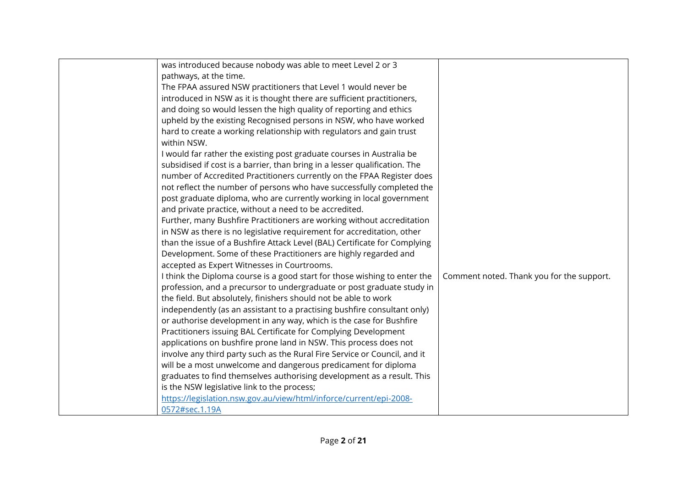| was introduced because nobody was able to meet Level 2 or 3<br>pathways, at the time.<br>The FPAA assured NSW practitioners that Level 1 would never be<br>introduced in NSW as it is thought there are sufficient practitioners,<br>and doing so would lessen the high quality of reporting and ethics<br>upheld by the existing Recognised persons in NSW, who have worked<br>hard to create a working relationship with regulators and gain trust<br>within NSW.<br>I would far rather the existing post graduate courses in Australia be<br>subsidised if cost is a barrier, than bring in a lesser qualification. The<br>number of Accredited Practitioners currently on the FPAA Register does<br>not reflect the number of persons who have successfully completed the<br>post graduate diploma, who are currently working in local government<br>and private practice, without a need to be accredited.<br>Further, many Bushfire Practitioners are working without accreditation<br>in NSW as there is no legislative requirement for accreditation, other<br>than the issue of a Bushfire Attack Level (BAL) Certificate for Complying<br>Development. Some of these Practitioners are highly regarded and<br>accepted as Expert Witnesses in Courtrooms.<br>I think the Diploma course is a good start for those wishing to enter the<br>profession, and a precursor to undergraduate or post graduate study in<br>the field. But absolutely, finishers should not be able to work<br>independently (as an assistant to a practising bushfire consultant only)<br>or authorise development in any way, which is the case for Bushfire<br>Practitioners issuing BAL Certificate for Complying Development<br>applications on bushfire prone land in NSW. This process does not | Comment noted. Thank you for the support. |
|------------------------------------------------------------------------------------------------------------------------------------------------------------------------------------------------------------------------------------------------------------------------------------------------------------------------------------------------------------------------------------------------------------------------------------------------------------------------------------------------------------------------------------------------------------------------------------------------------------------------------------------------------------------------------------------------------------------------------------------------------------------------------------------------------------------------------------------------------------------------------------------------------------------------------------------------------------------------------------------------------------------------------------------------------------------------------------------------------------------------------------------------------------------------------------------------------------------------------------------------------------------------------------------------------------------------------------------------------------------------------------------------------------------------------------------------------------------------------------------------------------------------------------------------------------------------------------------------------------------------------------------------------------------------------------------------------------------------------------------------------------------------------------------|-------------------------------------------|
| involve any third party such as the Rural Fire Service or Council, and it<br>will be a most unwelcome and dangerous predicament for diploma<br>graduates to find themselves authorising development as a result. This<br>is the NSW legislative link to the process;<br>https://legislation.nsw.gov.au/view/html/inforce/current/epi-2008-<br>0572#sec.1.19A                                                                                                                                                                                                                                                                                                                                                                                                                                                                                                                                                                                                                                                                                                                                                                                                                                                                                                                                                                                                                                                                                                                                                                                                                                                                                                                                                                                                                             |                                           |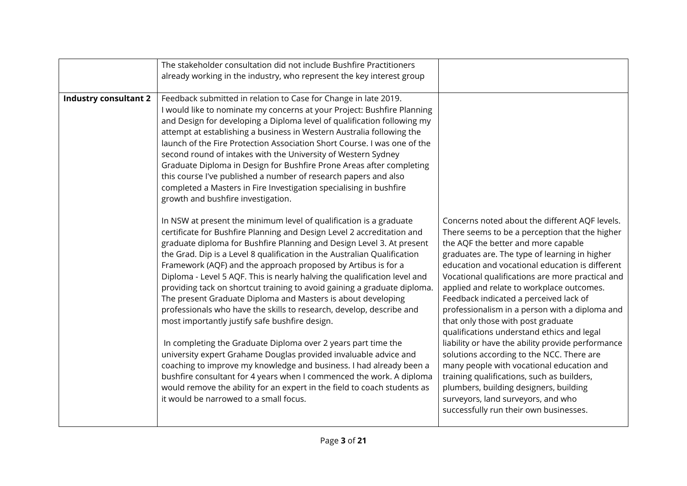|                              | The stakeholder consultation did not include Bushfire Practitioners<br>already working in the industry, who represent the key interest group                                                                                                                                                                                                                                                                                                                                                                                                                                                                                                                                                                                                                                                                                                                                                                                                                                                                                                                                                                                                                                                                                                                                                                                                                                                                                                                                                                                                                     |                                                                                                                                                                                                                                                                                                                                                                                                                                                                                                                                                                                                                                |
|------------------------------|------------------------------------------------------------------------------------------------------------------------------------------------------------------------------------------------------------------------------------------------------------------------------------------------------------------------------------------------------------------------------------------------------------------------------------------------------------------------------------------------------------------------------------------------------------------------------------------------------------------------------------------------------------------------------------------------------------------------------------------------------------------------------------------------------------------------------------------------------------------------------------------------------------------------------------------------------------------------------------------------------------------------------------------------------------------------------------------------------------------------------------------------------------------------------------------------------------------------------------------------------------------------------------------------------------------------------------------------------------------------------------------------------------------------------------------------------------------------------------------------------------------------------------------------------------------|--------------------------------------------------------------------------------------------------------------------------------------------------------------------------------------------------------------------------------------------------------------------------------------------------------------------------------------------------------------------------------------------------------------------------------------------------------------------------------------------------------------------------------------------------------------------------------------------------------------------------------|
| <b>Industry consultant 2</b> | Feedback submitted in relation to Case for Change in late 2019.<br>I would like to nominate my concerns at your Project: Bushfire Planning<br>and Design for developing a Diploma level of qualification following my<br>attempt at establishing a business in Western Australia following the<br>launch of the Fire Protection Association Short Course. I was one of the<br>second round of intakes with the University of Western Sydney<br>Graduate Diploma in Design for Bushfire Prone Areas after completing<br>this course I've published a number of research papers and also<br>completed a Masters in Fire Investigation specialising in bushfire<br>growth and bushfire investigation.<br>In NSW at present the minimum level of qualification is a graduate<br>certificate for Bushfire Planning and Design Level 2 accreditation and<br>graduate diploma for Bushfire Planning and Design Level 3. At present<br>the Grad. Dip is a Level 8 qualification in the Australian Qualification<br>Framework (AQF) and the approach proposed by Artibus is for a<br>Diploma - Level 5 AQF. This is nearly halving the qualification level and<br>providing tack on shortcut training to avoid gaining a graduate diploma.<br>The present Graduate Diploma and Masters is about developing<br>professionals who have the skills to research, develop, describe and<br>most importantly justify safe bushfire design.<br>In completing the Graduate Diploma over 2 years part time the<br>university expert Grahame Douglas provided invaluable advice and | Concerns noted about the different AQF levels.<br>There seems to be a perception that the higher<br>the AQF the better and more capable<br>graduates are. The type of learning in higher<br>education and vocational education is different<br>Vocational qualifications are more practical and<br>applied and relate to workplace outcomes.<br>Feedback indicated a perceived lack of<br>professionalism in a person with a diploma and<br>that only those with post graduate<br>qualifications understand ethics and legal<br>liability or have the ability provide performance<br>solutions according to the NCC. There are |
|                              | coaching to improve my knowledge and business. I had already been a<br>bushfire consultant for 4 years when I commenced the work. A diploma<br>would remove the ability for an expert in the field to coach students as<br>it would be narrowed to a small focus.                                                                                                                                                                                                                                                                                                                                                                                                                                                                                                                                                                                                                                                                                                                                                                                                                                                                                                                                                                                                                                                                                                                                                                                                                                                                                                | many people with vocational education and<br>training qualifications, such as builders,<br>plumbers, building designers, building<br>surveyors, land surveyors, and who<br>successfully run their own businesses.                                                                                                                                                                                                                                                                                                                                                                                                              |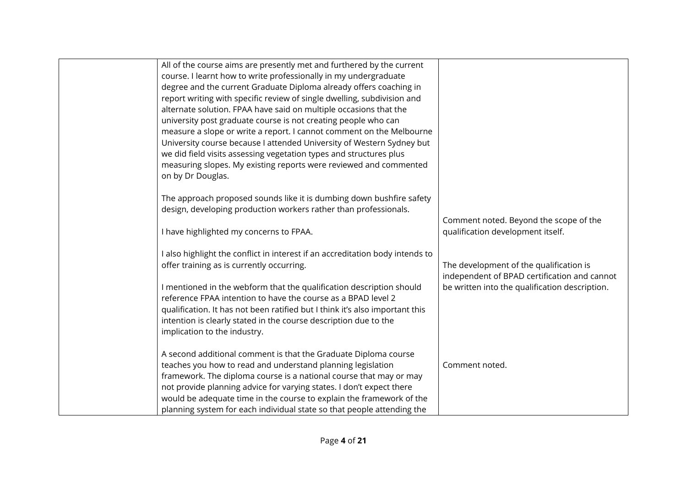| All of the course aims are presently met and furthered by the current<br>course. I learnt how to write professionally in my undergraduate<br>degree and the current Graduate Diploma already offers coaching in<br>report writing with specific review of single dwelling, subdivision and<br>alternate solution. FPAA have said on multiple occasions that the<br>university post graduate course is not creating people who can<br>measure a slope or write a report. I cannot comment on the Melbourne<br>University course because I attended University of Western Sydney but<br>we did field visits assessing vegetation types and structures plus<br>measuring slopes. My existing reports were reviewed and commented<br>on by Dr Douglas. |                                                                                         |
|----------------------------------------------------------------------------------------------------------------------------------------------------------------------------------------------------------------------------------------------------------------------------------------------------------------------------------------------------------------------------------------------------------------------------------------------------------------------------------------------------------------------------------------------------------------------------------------------------------------------------------------------------------------------------------------------------------------------------------------------------|-----------------------------------------------------------------------------------------|
| The approach proposed sounds like it is dumbing down bushfire safety<br>design, developing production workers rather than professionals.                                                                                                                                                                                                                                                                                                                                                                                                                                                                                                                                                                                                           |                                                                                         |
| I have highlighted my concerns to FPAA.                                                                                                                                                                                                                                                                                                                                                                                                                                                                                                                                                                                                                                                                                                            | Comment noted. Beyond the scope of the<br>qualification development itself.             |
| I also highlight the conflict in interest if an accreditation body intends to<br>offer training as is currently occurring.                                                                                                                                                                                                                                                                                                                                                                                                                                                                                                                                                                                                                         | The development of the qualification is<br>independent of BPAD certification and cannot |
| I mentioned in the webform that the qualification description should<br>reference FPAA intention to have the course as a BPAD level 2<br>qualification. It has not been ratified but I think it's also important this<br>intention is clearly stated in the course description due to the<br>implication to the industry.                                                                                                                                                                                                                                                                                                                                                                                                                          | be written into the qualification description.                                          |
| A second additional comment is that the Graduate Diploma course<br>teaches you how to read and understand planning legislation<br>framework. The diploma course is a national course that may or may<br>not provide planning advice for varying states. I don't expect there<br>would be adequate time in the course to explain the framework of the<br>planning system for each individual state so that people attending the                                                                                                                                                                                                                                                                                                                     | Comment noted.                                                                          |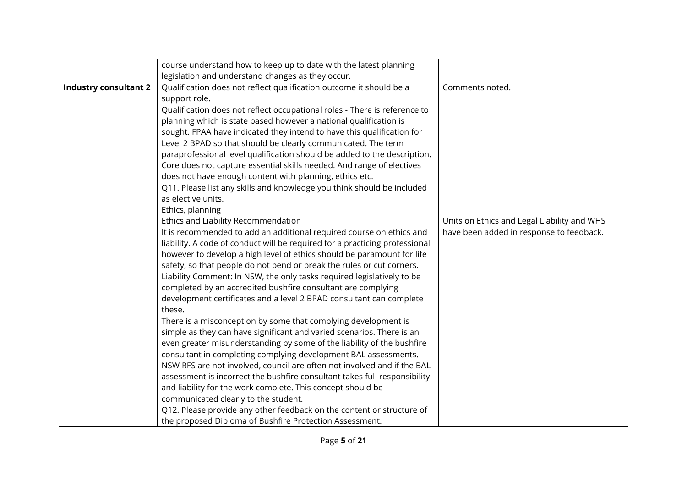|                              | course understand how to keep up to date with the latest planning           |                                             |
|------------------------------|-----------------------------------------------------------------------------|---------------------------------------------|
|                              | legislation and understand changes as they occur.                           |                                             |
| <b>Industry consultant 2</b> | Qualification does not reflect qualification outcome it should be a         | Comments noted.                             |
|                              | support role.                                                               |                                             |
|                              | Qualification does not reflect occupational roles - There is reference to   |                                             |
|                              | planning which is state based however a national qualification is           |                                             |
|                              | sought. FPAA have indicated they intend to have this qualification for      |                                             |
|                              | Level 2 BPAD so that should be clearly communicated. The term               |                                             |
|                              | paraprofessional level qualification should be added to the description.    |                                             |
|                              | Core does not capture essential skills needed. And range of electives       |                                             |
|                              | does not have enough content with planning, ethics etc.                     |                                             |
|                              | Q11. Please list any skills and knowledge you think should be included      |                                             |
|                              | as elective units.                                                          |                                             |
|                              | Ethics, planning                                                            |                                             |
|                              | Ethics and Liability Recommendation                                         | Units on Ethics and Legal Liability and WHS |
|                              | It is recommended to add an additional required course on ethics and        | have been added in response to feedback.    |
|                              | liability. A code of conduct will be required for a practicing professional |                                             |
|                              | however to develop a high level of ethics should be paramount for life      |                                             |
|                              | safety, so that people do not bend or break the rules or cut corners.       |                                             |
|                              | Liability Comment: In NSW, the only tasks required legislatively to be      |                                             |
|                              | completed by an accredited bushfire consultant are complying                |                                             |
|                              | development certificates and a level 2 BPAD consultant can complete         |                                             |
|                              | these.                                                                      |                                             |
|                              | There is a misconception by some that complying development is              |                                             |
|                              | simple as they can have significant and varied scenarios. There is an       |                                             |
|                              | even greater misunderstanding by some of the liability of the bushfire      |                                             |
|                              | consultant in completing complying development BAL assessments.             |                                             |
|                              | NSW RFS are not involved, council are often not involved and if the BAL     |                                             |
|                              | assessment is incorrect the bushfire consultant takes full responsibility   |                                             |
|                              | and liability for the work complete. This concept should be                 |                                             |
|                              | communicated clearly to the student.                                        |                                             |
|                              | Q12. Please provide any other feedback on the content or structure of       |                                             |
|                              | the proposed Diploma of Bushfire Protection Assessment.                     |                                             |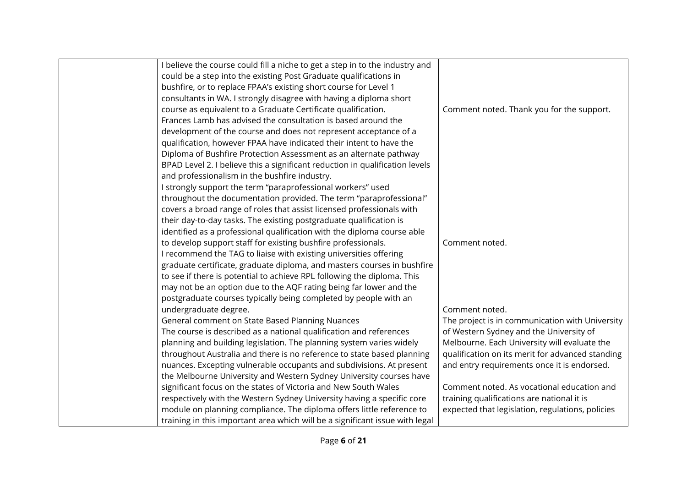| believe the course could fill a niche to get a step in to the industry and   |                                                  |
|------------------------------------------------------------------------------|--------------------------------------------------|
| could be a step into the existing Post Graduate qualifications in            |                                                  |
| bushfire, or to replace FPAA's existing short course for Level 1             |                                                  |
| consultants in WA. I strongly disagree with having a diploma short           |                                                  |
| course as equivalent to a Graduate Certificate qualification.                | Comment noted. Thank you for the support.        |
| Frances Lamb has advised the consultation is based around the                |                                                  |
| development of the course and does not represent acceptance of a             |                                                  |
| qualification, however FPAA have indicated their intent to have the          |                                                  |
| Diploma of Bushfire Protection Assessment as an alternate pathway            |                                                  |
| BPAD Level 2. I believe this a significant reduction in qualification levels |                                                  |
| and professionalism in the bushfire industry.                                |                                                  |
| I strongly support the term "paraprofessional workers" used                  |                                                  |
| throughout the documentation provided. The term "paraprofessional"           |                                                  |
| covers a broad range of roles that assist licensed professionals with        |                                                  |
| their day-to-day tasks. The existing postgraduate qualification is           |                                                  |
| identified as a professional qualification with the diploma course able      |                                                  |
| to develop support staff for existing bushfire professionals.                | Comment noted.                                   |
| I recommend the TAG to liaise with existing universities offering            |                                                  |
| graduate certificate, graduate diploma, and masters courses in bushfire      |                                                  |
| to see if there is potential to achieve RPL following the diploma. This      |                                                  |
| may not be an option due to the AQF rating being far lower and the           |                                                  |
| postgraduate courses typically being completed by people with an             |                                                  |
| undergraduate degree.                                                        | Comment noted.                                   |
| General comment on State Based Planning Nuances                              | The project is in communication with University  |
| The course is described as a national qualification and references           | of Western Sydney and the University of          |
| planning and building legislation. The planning system varies widely         | Melbourne. Each University will evaluate the     |
| throughout Australia and there is no reference to state based planning       | qualification on its merit for advanced standing |
| nuances. Excepting vulnerable occupants and subdivisions. At present         | and entry requirements once it is endorsed.      |
| the Melbourne University and Western Sydney University courses have          |                                                  |
| significant focus on the states of Victoria and New South Wales              | Comment noted. As vocational education and       |
| respectively with the Western Sydney University having a specific core       | training qualifications are national it is       |
| module on planning compliance. The diploma offers little reference to        | expected that legislation, regulations, policies |
| training in this important area which will be a significant issue with legal |                                                  |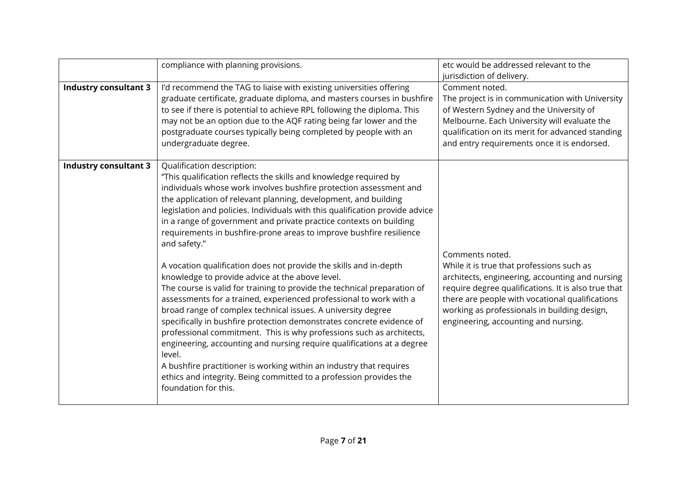|                              | compliance with planning provisions.                                                                                                                                                                                                                                                                                                                                                                                                                                                                                                                                                                                                                                                                                                                                                                                                                                                                                                                                                                                                                                                                                                                                                                                                      | etc would be addressed relevant to the<br>jurisdiction of delivery.                                                                                                                                                                                                                                               |
|------------------------------|-------------------------------------------------------------------------------------------------------------------------------------------------------------------------------------------------------------------------------------------------------------------------------------------------------------------------------------------------------------------------------------------------------------------------------------------------------------------------------------------------------------------------------------------------------------------------------------------------------------------------------------------------------------------------------------------------------------------------------------------------------------------------------------------------------------------------------------------------------------------------------------------------------------------------------------------------------------------------------------------------------------------------------------------------------------------------------------------------------------------------------------------------------------------------------------------------------------------------------------------|-------------------------------------------------------------------------------------------------------------------------------------------------------------------------------------------------------------------------------------------------------------------------------------------------------------------|
| <b>Industry consultant 3</b> | I'd recommend the TAG to liaise with existing universities offering<br>graduate certificate, graduate diploma, and masters courses in bushfire<br>to see if there is potential to achieve RPL following the diploma. This<br>may not be an option due to the AQF rating being far lower and the<br>postgraduate courses typically being completed by people with an<br>undergraduate degree.                                                                                                                                                                                                                                                                                                                                                                                                                                                                                                                                                                                                                                                                                                                                                                                                                                              | Comment noted.<br>The project is in communication with University<br>of Western Sydney and the University of<br>Melbourne. Each University will evaluate the<br>qualification on its merit for advanced standing<br>and entry requirements once it is endorsed.                                                   |
| <b>Industry consultant 3</b> | Qualification description:<br>"This qualification reflects the skills and knowledge required by<br>individuals whose work involves bushfire protection assessment and<br>the application of relevant planning, development, and building<br>legislation and policies. Individuals with this qualification provide advice<br>in a range of government and private practice contexts on building<br>requirements in bushfire-prone areas to improve bushfire resilience<br>and safety."<br>A vocation qualification does not provide the skills and in-depth<br>knowledge to provide advice at the above level.<br>The course is valid for training to provide the technical preparation of<br>assessments for a trained, experienced professional to work with a<br>broad range of complex technical issues. A university degree<br>specifically in bushfire protection demonstrates concrete evidence of<br>professional commitment. This is why professions such as architects,<br>engineering, accounting and nursing require qualifications at a degree<br>level.<br>A bushfire practitioner is working within an industry that requires<br>ethics and integrity. Being committed to a profession provides the<br>foundation for this. | Comments noted.<br>While it is true that professions such as<br>architects, engineering, accounting and nursing<br>require degree qualifications. It is also true that<br>there are people with vocational qualifications<br>working as professionals in building design,<br>engineering, accounting and nursing. |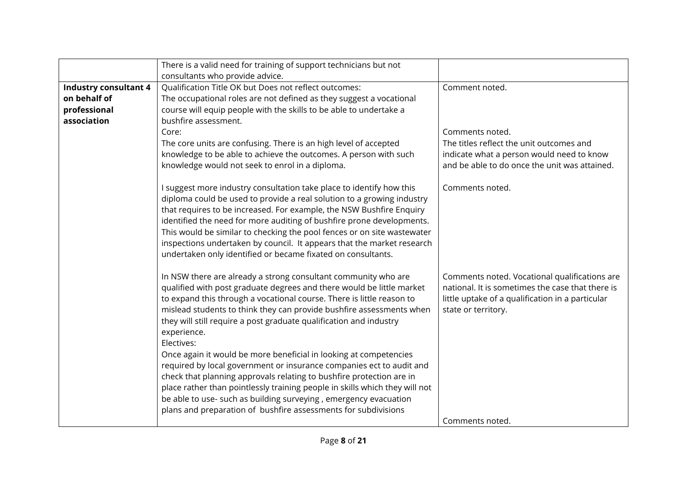|                              | There is a valid need for training of support technicians but not                                                                                                                                                                                                                                                                                                                                                                                                                                                                                                                                                                                                                                                                                                                                                                     |                                                                                                                                                                                                 |
|------------------------------|---------------------------------------------------------------------------------------------------------------------------------------------------------------------------------------------------------------------------------------------------------------------------------------------------------------------------------------------------------------------------------------------------------------------------------------------------------------------------------------------------------------------------------------------------------------------------------------------------------------------------------------------------------------------------------------------------------------------------------------------------------------------------------------------------------------------------------------|-------------------------------------------------------------------------------------------------------------------------------------------------------------------------------------------------|
|                              | consultants who provide advice.                                                                                                                                                                                                                                                                                                                                                                                                                                                                                                                                                                                                                                                                                                                                                                                                       |                                                                                                                                                                                                 |
| <b>Industry consultant 4</b> | <b>Qualification Title OK but Does not reflect outcomes:</b>                                                                                                                                                                                                                                                                                                                                                                                                                                                                                                                                                                                                                                                                                                                                                                          | Comment noted.                                                                                                                                                                                  |
| on behalf of                 | The occupational roles are not defined as they suggest a vocational                                                                                                                                                                                                                                                                                                                                                                                                                                                                                                                                                                                                                                                                                                                                                                   |                                                                                                                                                                                                 |
| professional                 | course will equip people with the skills to be able to undertake a                                                                                                                                                                                                                                                                                                                                                                                                                                                                                                                                                                                                                                                                                                                                                                    |                                                                                                                                                                                                 |
| association                  | bushfire assessment.                                                                                                                                                                                                                                                                                                                                                                                                                                                                                                                                                                                                                                                                                                                                                                                                                  |                                                                                                                                                                                                 |
|                              | Core:                                                                                                                                                                                                                                                                                                                                                                                                                                                                                                                                                                                                                                                                                                                                                                                                                                 | Comments noted.                                                                                                                                                                                 |
|                              | The core units are confusing. There is an high level of accepted                                                                                                                                                                                                                                                                                                                                                                                                                                                                                                                                                                                                                                                                                                                                                                      | The titles reflect the unit outcomes and                                                                                                                                                        |
|                              | knowledge to be able to achieve the outcomes. A person with such                                                                                                                                                                                                                                                                                                                                                                                                                                                                                                                                                                                                                                                                                                                                                                      | indicate what a person would need to know                                                                                                                                                       |
|                              | knowledge would not seek to enrol in a diploma.                                                                                                                                                                                                                                                                                                                                                                                                                                                                                                                                                                                                                                                                                                                                                                                       | and be able to do once the unit was attained.                                                                                                                                                   |
|                              |                                                                                                                                                                                                                                                                                                                                                                                                                                                                                                                                                                                                                                                                                                                                                                                                                                       |                                                                                                                                                                                                 |
|                              | I suggest more industry consultation take place to identify how this<br>diploma could be used to provide a real solution to a growing industry<br>that requires to be increased. For example, the NSW Bushfire Enquiry<br>identified the need for more auditing of bushfire prone developments.<br>This would be similar to checking the pool fences or on site wastewater<br>inspections undertaken by council. It appears that the market research<br>undertaken only identified or became fixated on consultants.                                                                                                                                                                                                                                                                                                                  | Comments noted.                                                                                                                                                                                 |
|                              | In NSW there are already a strong consultant community who are<br>qualified with post graduate degrees and there would be little market<br>to expand this through a vocational course. There is little reason to<br>mislead students to think they can provide bushfire assessments when<br>they will still require a post graduate qualification and industry<br>experience.<br>Electives:<br>Once again it would be more beneficial in looking at competencies<br>required by local government or insurance companies ect to audit and<br>check that planning approvals relating to bushfire protection are in<br>place rather than pointlessly training people in skills which they will not<br>be able to use- such as building surveying, emergency evacuation<br>plans and preparation of bushfire assessments for subdivisions | Comments noted. Vocational qualifications are<br>national. It is sometimes the case that there is<br>little uptake of a qualification in a particular<br>state or territory.<br>Comments noted. |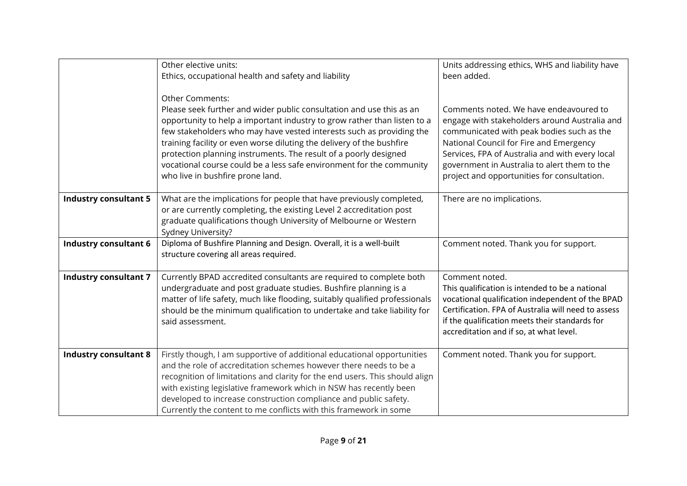|                              | Other elective units:<br>Ethics, occupational health and safety and liability                                                                                                                                                           | Units addressing ethics, WHS and liability have<br>been added.                                      |
|------------------------------|-----------------------------------------------------------------------------------------------------------------------------------------------------------------------------------------------------------------------------------------|-----------------------------------------------------------------------------------------------------|
|                              | <b>Other Comments:</b>                                                                                                                                                                                                                  |                                                                                                     |
|                              | Please seek further and wider public consultation and use this as an                                                                                                                                                                    | Comments noted. We have endeavoured to                                                              |
|                              | opportunity to help a important industry to grow rather than listen to a<br>few stakeholders who may have vested interests such as providing the                                                                                        | engage with stakeholders around Australia and<br>communicated with peak bodies such as the          |
|                              | training facility or even worse diluting the delivery of the bushfire<br>protection planning instruments. The result of a poorly designed                                                                                               | National Council for Fire and Emergency<br>Services, FPA of Australia and with every local          |
|                              | vocational course could be a less safe environment for the community                                                                                                                                                                    | government in Australia to alert them to the                                                        |
|                              | who live in bushfire prone land.                                                                                                                                                                                                        | project and opportunities for consultation.                                                         |
| <b>Industry consultant 5</b> | What are the implications for people that have previously completed,<br>or are currently completing, the existing Level 2 accreditation post<br>graduate qualifications though University of Melbourne or Western<br>Sydney University? | There are no implications.                                                                          |
| <b>Industry consultant 6</b> | Diploma of Bushfire Planning and Design. Overall, it is a well-built<br>structure covering all areas required.                                                                                                                          | Comment noted. Thank you for support.                                                               |
| <b>Industry consultant 7</b> | Currently BPAD accredited consultants are required to complete both                                                                                                                                                                     | Comment noted.                                                                                      |
|                              | undergraduate and post graduate studies. Bushfire planning is a<br>matter of life safety, much like flooding, suitably qualified professionals                                                                                          | This qualification is intended to be a national<br>vocational qualification independent of the BPAD |
|                              | should be the minimum qualification to undertake and take liability for                                                                                                                                                                 | Certification. FPA of Australia will need to assess                                                 |
|                              | said assessment.                                                                                                                                                                                                                        | if the qualification meets their standards for<br>accreditation and if so, at what level.           |
|                              |                                                                                                                                                                                                                                         |                                                                                                     |
| <b>Industry consultant 8</b> | Firstly though, I am supportive of additional educational opportunities<br>and the role of accreditation schemes however there needs to be a                                                                                            | Comment noted. Thank you for support.                                                               |
|                              | recognition of limitations and clarity for the end users. This should align                                                                                                                                                             |                                                                                                     |
|                              | with existing legislative framework which in NSW has recently been                                                                                                                                                                      |                                                                                                     |
|                              | developed to increase construction compliance and public safety.<br>Currently the content to me conflicts with this framework in some                                                                                                   |                                                                                                     |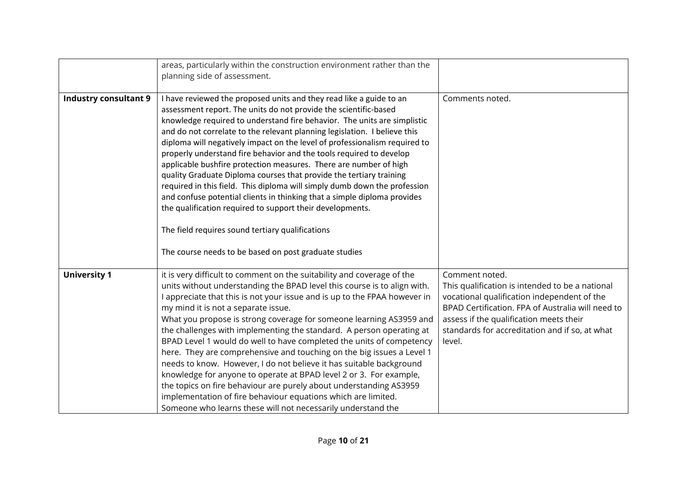|                              | areas, particularly within the construction environment rather than the<br>planning side of assessment.                                                                                                                                                                                                                                                                                                                                                                                                                                                                                                                                                                                                                                                                                                                                                                                                                              |                                                                                                                                                                                                                                                                              |
|------------------------------|--------------------------------------------------------------------------------------------------------------------------------------------------------------------------------------------------------------------------------------------------------------------------------------------------------------------------------------------------------------------------------------------------------------------------------------------------------------------------------------------------------------------------------------------------------------------------------------------------------------------------------------------------------------------------------------------------------------------------------------------------------------------------------------------------------------------------------------------------------------------------------------------------------------------------------------|------------------------------------------------------------------------------------------------------------------------------------------------------------------------------------------------------------------------------------------------------------------------------|
| <b>Industry consultant 9</b> | I have reviewed the proposed units and they read like a guide to an<br>assessment report. The units do not provide the scientific-based<br>knowledge required to understand fire behavior. The units are simplistic<br>and do not correlate to the relevant planning legislation. I believe this<br>diploma will negatively impact on the level of professionalism required to<br>properly understand fire behavior and the tools required to develop<br>applicable bushfire protection measures. There are number of high<br>quality Graduate Diploma courses that provide the tertiary training<br>required in this field. This diploma will simply dumb down the profession<br>and confuse potential clients in thinking that a simple diploma provides<br>the qualification required to support their developments.<br>The field requires sound tertiary qualifications<br>The course needs to be based on post graduate studies | Comments noted.                                                                                                                                                                                                                                                              |
| <b>University 1</b>          | it is very difficult to comment on the suitability and coverage of the<br>units without understanding the BPAD level this course is to align with.<br>I appreciate that this is not your issue and is up to the FPAA however in<br>my mind it is not a separate issue.<br>What you propose is strong coverage for someone learning AS3959 and<br>the challenges with implementing the standard. A person operating at<br>BPAD Level 1 would do well to have completed the units of competency<br>here. They are comprehensive and touching on the big issues a Level 1<br>needs to know. However, I do not believe it has suitable background<br>knowledge for anyone to operate at BPAD level 2 or 3. For example,<br>the topics on fire behaviour are purely about understanding AS3959<br>implementation of fire behaviour equations which are limited.<br>Someone who learns these will not necessarily understand the           | Comment noted.<br>This qualification is intended to be a national<br>vocational qualification independent of the<br>BPAD Certification. FPA of Australia will need to<br>assess if the qualification meets their<br>standards for accreditation and if so, at what<br>level. |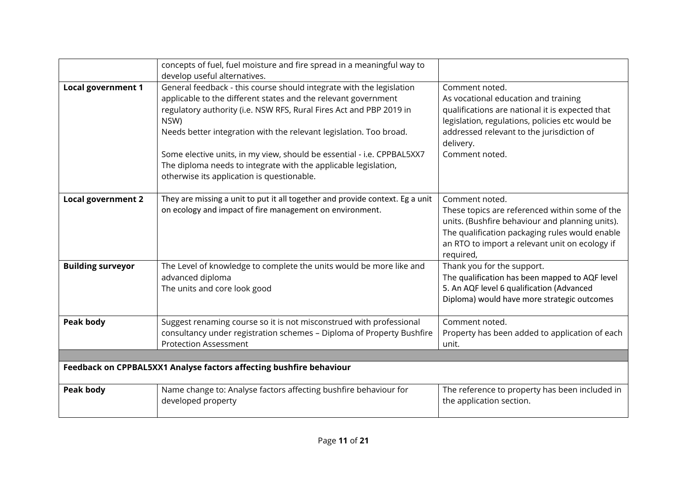|                           | concepts of fuel, fuel moisture and fire spread in a meaningful way to<br>develop useful alternatives.                                                                                                                                                                                                                                                                                                                                                                                 |                                                                                                                                                                                                                                          |
|---------------------------|----------------------------------------------------------------------------------------------------------------------------------------------------------------------------------------------------------------------------------------------------------------------------------------------------------------------------------------------------------------------------------------------------------------------------------------------------------------------------------------|------------------------------------------------------------------------------------------------------------------------------------------------------------------------------------------------------------------------------------------|
| <b>Local government 1</b> | General feedback - this course should integrate with the legislation<br>applicable to the different states and the relevant government<br>regulatory authority (i.e. NSW RFS, Rural Fires Act and PBP 2019 in<br>NSW)<br>Needs better integration with the relevant legislation. Too broad.<br>Some elective units, in my view, should be essential - i.e. CPPBAL5XX7<br>The diploma needs to integrate with the applicable legislation,<br>otherwise its application is questionable. | Comment noted.<br>As vocational education and training<br>qualifications are national it is expected that<br>legislation, regulations, policies etc would be<br>addressed relevant to the jurisdiction of<br>delivery.<br>Comment noted. |
| <b>Local government 2</b> | They are missing a unit to put it all together and provide context. Eg a unit<br>on ecology and impact of fire management on environment.                                                                                                                                                                                                                                                                                                                                              | Comment noted.<br>These topics are referenced within some of the<br>units. (Bushfire behaviour and planning units).<br>The qualification packaging rules would enable<br>an RTO to import a relevant unit on ecology if<br>required,     |
| <b>Building surveyor</b>  | The Level of knowledge to complete the units would be more like and<br>advanced diploma<br>The units and core look good                                                                                                                                                                                                                                                                                                                                                                | Thank you for the support.<br>The qualification has been mapped to AQF level<br>5. An AQF level 6 qualification (Advanced<br>Diploma) would have more strategic outcomes                                                                 |
| <b>Peak body</b>          | Suggest renaming course so it is not misconstrued with professional<br>consultancy under registration schemes - Diploma of Property Bushfire<br><b>Protection Assessment</b>                                                                                                                                                                                                                                                                                                           | Comment noted.<br>Property has been added to application of each<br>unit.                                                                                                                                                                |
|                           |                                                                                                                                                                                                                                                                                                                                                                                                                                                                                        |                                                                                                                                                                                                                                          |
|                           | Feedback on CPPBAL5XX1 Analyse factors affecting bushfire behaviour                                                                                                                                                                                                                                                                                                                                                                                                                    |                                                                                                                                                                                                                                          |
| <b>Peak body</b>          | Name change to: Analyse factors affecting bushfire behaviour for<br>developed property                                                                                                                                                                                                                                                                                                                                                                                                 | The reference to property has been included in<br>the application section.                                                                                                                                                               |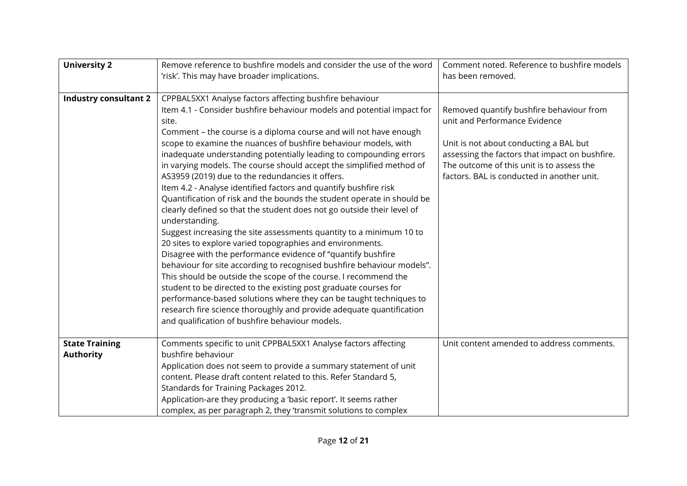| <b>University 2</b>                       | Remove reference to bushfire models and consider the use of the word<br>'risk'. This may have broader implications.                                                                                                                                                                                                                                                                                                                                                                                                                                                                                                                                                                                                                                                                                                                                                                                                                                                                                                                                                                                                                                                                                                                                                                                                                                  | Comment noted. Reference to bushfire models<br>has been removed.                                                                                                                                                                                                 |
|-------------------------------------------|------------------------------------------------------------------------------------------------------------------------------------------------------------------------------------------------------------------------------------------------------------------------------------------------------------------------------------------------------------------------------------------------------------------------------------------------------------------------------------------------------------------------------------------------------------------------------------------------------------------------------------------------------------------------------------------------------------------------------------------------------------------------------------------------------------------------------------------------------------------------------------------------------------------------------------------------------------------------------------------------------------------------------------------------------------------------------------------------------------------------------------------------------------------------------------------------------------------------------------------------------------------------------------------------------------------------------------------------------|------------------------------------------------------------------------------------------------------------------------------------------------------------------------------------------------------------------------------------------------------------------|
| <b>Industry consultant 2</b>              | CPPBAL5XX1 Analyse factors affecting bushfire behaviour<br>Item 4.1 - Consider bushfire behaviour models and potential impact for<br>site.<br>Comment - the course is a diploma course and will not have enough<br>scope to examine the nuances of bushfire behaviour models, with<br>inadequate understanding potentially leading to compounding errors<br>in varying models. The course should accept the simplified method of<br>AS3959 (2019) due to the redundancies it offers.<br>Item 4.2 - Analyse identified factors and quantify bushfire risk<br>Quantification of risk and the bounds the student operate in should be<br>clearly defined so that the student does not go outside their level of<br>understanding.<br>Suggest increasing the site assessments quantity to a minimum 10 to<br>20 sites to explore varied topographies and environments.<br>Disagree with the performance evidence of "quantify bushfire<br>behaviour for site according to recognised bushfire behaviour models".<br>This should be outside the scope of the course. I recommend the<br>student to be directed to the existing post graduate courses for<br>performance-based solutions where they can be taught techniques to<br>research fire science thoroughly and provide adequate quantification<br>and qualification of bushfire behaviour models. | Removed quantify bushfire behaviour from<br>unit and Performance Evidence<br>Unit is not about conducting a BAL but<br>assessing the factors that impact on bushfire.<br>The outcome of this unit is to assess the<br>factors. BAL is conducted in another unit. |
| <b>State Training</b><br><b>Authority</b> | Comments specific to unit CPPBAL5XX1 Analyse factors affecting<br>bushfire behaviour<br>Application does not seem to provide a summary statement of unit<br>content. Please draft content related to this. Refer Standard 5,<br>Standards for Training Packages 2012.<br>Application-are they producing a 'basic report'. It seems rather<br>complex, as per paragraph 2, they 'transmit solutions to complex                                                                                                                                                                                                                                                                                                                                                                                                                                                                                                                                                                                                                                                                                                                                                                                                                                                                                                                                        | Unit content amended to address comments.                                                                                                                                                                                                                        |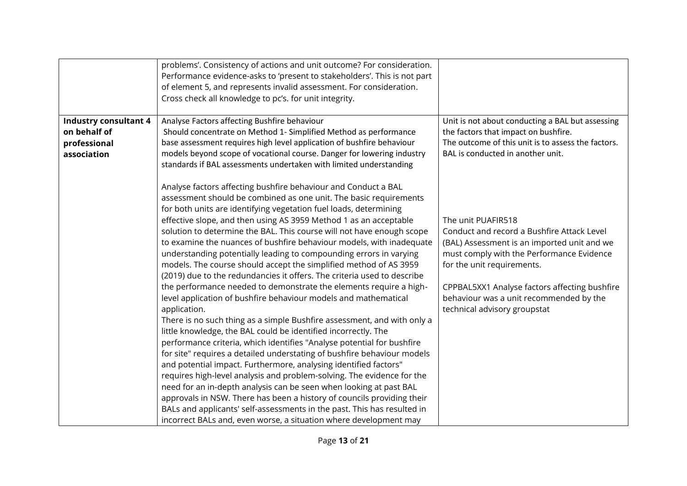|                                              | problems'. Consistency of actions and unit outcome? For consideration.<br>Performance evidence-asks to 'present to stakeholders'. This is not part<br>of element 5, and represents invalid assessment. For consideration.<br>Cross check all knowledge to pc's. for unit integrity.                                                                                                                                                                                                                                                                                                                                                                  |                                                                                                                                                                                            |
|----------------------------------------------|------------------------------------------------------------------------------------------------------------------------------------------------------------------------------------------------------------------------------------------------------------------------------------------------------------------------------------------------------------------------------------------------------------------------------------------------------------------------------------------------------------------------------------------------------------------------------------------------------------------------------------------------------|--------------------------------------------------------------------------------------------------------------------------------------------------------------------------------------------|
| <b>Industry consultant 4</b><br>on behalf of | Analyse Factors affecting Bushfire behaviour<br>Should concentrate on Method 1- Simplified Method as performance                                                                                                                                                                                                                                                                                                                                                                                                                                                                                                                                     | Unit is not about conducting a BAL but assessing<br>the factors that impact on bushfire.                                                                                                   |
| professional<br>association                  | base assessment requires high level application of bushfire behaviour<br>models beyond scope of vocational course. Danger for lowering industry<br>standards if BAL assessments undertaken with limited understanding                                                                                                                                                                                                                                                                                                                                                                                                                                | The outcome of this unit is to assess the factors.<br>BAL is conducted in another unit.                                                                                                    |
|                                              | Analyse factors affecting bushfire behaviour and Conduct a BAL<br>assessment should be combined as one unit. The basic requirements<br>for both units are identifying vegetation fuel loads, determining<br>effective slope, and then using AS 3959 Method 1 as an acceptable<br>solution to determine the BAL. This course will not have enough scope<br>to examine the nuances of bushfire behaviour models, with inadequate<br>understanding potentially leading to compounding errors in varying<br>models. The course should accept the simplified method of AS 3959<br>(2019) due to the redundancies it offers. The criteria used to describe | The unit PUAFIR518<br>Conduct and record a Bushfire Attack Level<br>(BAL) Assessment is an imported unit and we<br>must comply with the Performance Evidence<br>for the unit requirements. |
|                                              | the performance needed to demonstrate the elements require a high-<br>level application of bushfire behaviour models and mathematical<br>application.<br>There is no such thing as a simple Bushfire assessment, and with only a<br>little knowledge, the BAL could be identified incorrectly. The<br>performance criteria, which identifies "Analyse potential for bushfire<br>for site" requires a detailed understating of bushfire behaviour models<br>and potential impact. Furthermore, analysing identified factors"                                                                                                                          | CPPBAL5XX1 Analyse factors affecting bushfire<br>behaviour was a unit recommended by the<br>technical advisory groupstat                                                                   |
|                                              | requires high-level analysis and problem-solving. The evidence for the<br>need for an in-depth analysis can be seen when looking at past BAL<br>approvals in NSW. There has been a history of councils providing their<br>BALs and applicants' self-assessments in the past. This has resulted in<br>incorrect BALs and, even worse, a situation where development may                                                                                                                                                                                                                                                                               |                                                                                                                                                                                            |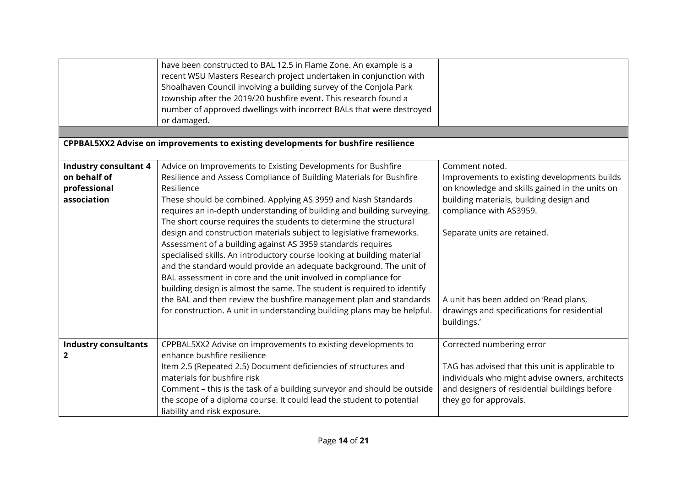|                              | have been constructed to BAL 12.5 in Flame Zone. An example is a                   |                                                 |
|------------------------------|------------------------------------------------------------------------------------|-------------------------------------------------|
|                              | recent WSU Masters Research project undertaken in conjunction with                 |                                                 |
|                              | Shoalhaven Council involving a building survey of the Conjola Park                 |                                                 |
|                              | township after the 2019/20 bushfire event. This research found a                   |                                                 |
|                              | number of approved dwellings with incorrect BALs that were destroyed               |                                                 |
|                              | or damaged.                                                                        |                                                 |
|                              |                                                                                    |                                                 |
|                              | CPPBAL5XX2 Advise on improvements to existing developments for bushfire resilience |                                                 |
|                              |                                                                                    |                                                 |
| <b>Industry consultant 4</b> | Advice on Improvements to Existing Developments for Bushfire                       | Comment noted.                                  |
| on behalf of                 | Resilience and Assess Compliance of Building Materials for Bushfire                | Improvements to existing developments builds    |
| professional                 | Resilience                                                                         | on knowledge and skills gained in the units on  |
| association                  | These should be combined. Applying AS 3959 and Nash Standards                      | building materials, building design and         |
|                              | requires an in-depth understanding of building and building surveying.             | compliance with AS3959.                         |
|                              | The short course requires the students to determine the structural                 |                                                 |
|                              | design and construction materials subject to legislative frameworks.               | Separate units are retained.                    |
|                              | Assessment of a building against AS 3959 standards requires                        |                                                 |
|                              | specialised skills. An introductory course looking at building material            |                                                 |
|                              | and the standard would provide an adequate background. The unit of                 |                                                 |
|                              | BAL assessment in core and the unit involved in compliance for                     |                                                 |
|                              | building design is almost the same. The student is required to identify            |                                                 |
|                              | the BAL and then review the bushfire management plan and standards                 | A unit has been added on 'Read plans,           |
|                              | for construction. A unit in understanding building plans may be helpful.           | drawings and specifications for residential     |
|                              |                                                                                    | buildings.'                                     |
|                              |                                                                                    |                                                 |
| <b>Industry consultants</b>  | CPPBAL5XX2 Advise on improvements to existing developments to                      | Corrected numbering error                       |
| $\mathbf{2}$                 | enhance bushfire resilience                                                        |                                                 |
|                              | Item 2.5 (Repeated 2.5) Document deficiencies of structures and                    | TAG has advised that this unit is applicable to |
|                              | materials for bushfire risk                                                        | individuals who might advise owners, architects |
|                              | Comment - this is the task of a building surveyor and should be outside            | and designers of residential buildings before   |
|                              | the scope of a diploma course. It could lead the student to potential              | they go for approvals.                          |
|                              | liability and risk exposure.                                                       |                                                 |
|                              |                                                                                    |                                                 |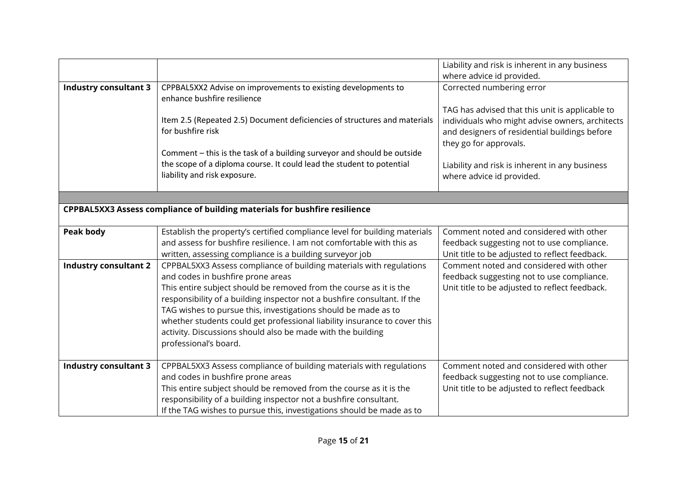|                                                                            |                                                                                                                                          | Liability and risk is inherent in any business                                                                             |
|----------------------------------------------------------------------------|------------------------------------------------------------------------------------------------------------------------------------------|----------------------------------------------------------------------------------------------------------------------------|
|                                                                            |                                                                                                                                          | where advice id provided.                                                                                                  |
| <b>Industry consultant 3</b>                                               | CPPBAL5XX2 Advise on improvements to existing developments to<br>enhance bushfire resilience                                             | Corrected numbering error                                                                                                  |
|                                                                            |                                                                                                                                          | TAG has advised that this unit is applicable to                                                                            |
|                                                                            | Item 2.5 (Repeated 2.5) Document deficiencies of structures and materials<br>for bushfire risk                                           | individuals who might advise owners, architects<br>and designers of residential buildings before<br>they go for approvals. |
|                                                                            | Comment - this is the task of a building surveyor and should be outside                                                                  |                                                                                                                            |
|                                                                            | the scope of a diploma course. It could lead the student to potential<br>liability and risk exposure.                                    | Liability and risk is inherent in any business<br>where advice id provided.                                                |
|                                                                            |                                                                                                                                          |                                                                                                                            |
| CPPBAL5XX3 Assess compliance of building materials for bushfire resilience |                                                                                                                                          |                                                                                                                            |
|                                                                            |                                                                                                                                          |                                                                                                                            |
| Peak body                                                                  | Establish the property's certified compliance level for building materials                                                               | Comment noted and considered with other                                                                                    |
|                                                                            | and assess for bushfire resilience. I am not comfortable with this as                                                                    | feedback suggesting not to use compliance.                                                                                 |
|                                                                            | written, assessing compliance is a building surveyor job                                                                                 | Unit title to be adjusted to reflect feedback.                                                                             |
| <b>Industry consultant 2</b>                                               | CPPBAL5XX3 Assess compliance of building materials with regulations                                                                      | Comment noted and considered with other                                                                                    |
|                                                                            | and codes in bushfire prone areas                                                                                                        | feedback suggesting not to use compliance.                                                                                 |
|                                                                            | This entire subject should be removed from the course as it is the                                                                       | Unit title to be adjusted to reflect feedback.                                                                             |
|                                                                            | responsibility of a building inspector not a bushfire consultant. If the                                                                 |                                                                                                                            |
|                                                                            | TAG wishes to pursue this, investigations should be made as to                                                                           |                                                                                                                            |
|                                                                            | whether students could get professional liability insurance to cover this<br>activity. Discussions should also be made with the building |                                                                                                                            |
|                                                                            | professional's board.                                                                                                                    |                                                                                                                            |
|                                                                            |                                                                                                                                          |                                                                                                                            |
| <b>Industry consultant 3</b>                                               | CPPBAL5XX3 Assess compliance of building materials with regulations                                                                      | Comment noted and considered with other                                                                                    |
|                                                                            | and codes in bushfire prone areas                                                                                                        | feedback suggesting not to use compliance.                                                                                 |
|                                                                            | This entire subject should be removed from the course as it is the                                                                       | Unit title to be adjusted to reflect feedback                                                                              |
|                                                                            | responsibility of a building inspector not a bushfire consultant.                                                                        |                                                                                                                            |
|                                                                            | If the TAG wishes to pursue this, investigations should be made as to                                                                    |                                                                                                                            |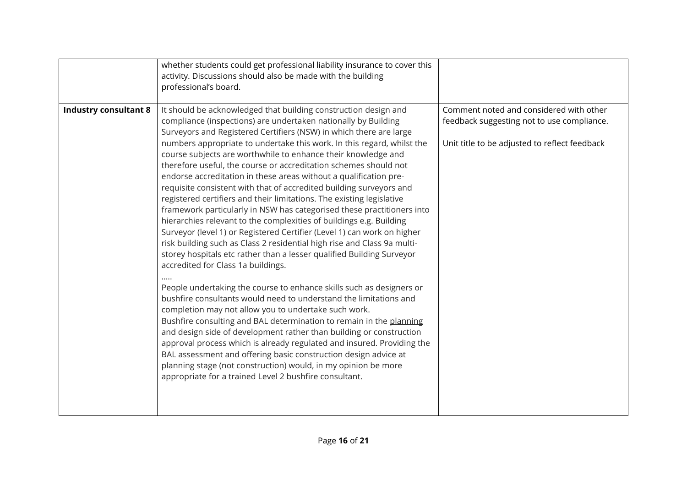|                              | whether students could get professional liability insurance to cover this<br>activity. Discussions should also be made with the building<br>professional's board.                                                                                                                                                                                                                                                                                                                                                                                                                                                                                                                                                                                                                                                                                                                                                                                                                                                                                                                                                                                                                                                                                                                                                                                                                                                                                                                                                                                                                                                                                                                             |                                                                                                                                        |
|------------------------------|-----------------------------------------------------------------------------------------------------------------------------------------------------------------------------------------------------------------------------------------------------------------------------------------------------------------------------------------------------------------------------------------------------------------------------------------------------------------------------------------------------------------------------------------------------------------------------------------------------------------------------------------------------------------------------------------------------------------------------------------------------------------------------------------------------------------------------------------------------------------------------------------------------------------------------------------------------------------------------------------------------------------------------------------------------------------------------------------------------------------------------------------------------------------------------------------------------------------------------------------------------------------------------------------------------------------------------------------------------------------------------------------------------------------------------------------------------------------------------------------------------------------------------------------------------------------------------------------------------------------------------------------------------------------------------------------------|----------------------------------------------------------------------------------------------------------------------------------------|
| <b>Industry consultant 8</b> | It should be acknowledged that building construction design and<br>compliance (inspections) are undertaken nationally by Building<br>Surveyors and Registered Certifiers (NSW) in which there are large<br>numbers appropriate to undertake this work. In this regard, whilst the<br>course subjects are worthwhile to enhance their knowledge and<br>therefore useful, the course or accreditation schemes should not<br>endorse accreditation in these areas without a qualification pre-<br>requisite consistent with that of accredited building surveyors and<br>registered certifiers and their limitations. The existing legislative<br>framework particularly in NSW has categorised these practitioners into<br>hierarchies relevant to the complexities of buildings e.g. Building<br>Surveyor (level 1) or Registered Certifier (Level 1) can work on higher<br>risk building such as Class 2 residential high rise and Class 9a multi-<br>storey hospitals etc rather than a lesser qualified Building Surveyor<br>accredited for Class 1a buildings.<br>People undertaking the course to enhance skills such as designers or<br>bushfire consultants would need to understand the limitations and<br>completion may not allow you to undertake such work.<br>Bushfire consulting and BAL determination to remain in the planning<br>and design side of development rather than building or construction<br>approval process which is already regulated and insured. Providing the<br>BAL assessment and offering basic construction design advice at<br>planning stage (not construction) would, in my opinion be more<br>appropriate for a trained Level 2 bushfire consultant. | Comment noted and considered with other<br>feedback suggesting not to use compliance.<br>Unit title to be adjusted to reflect feedback |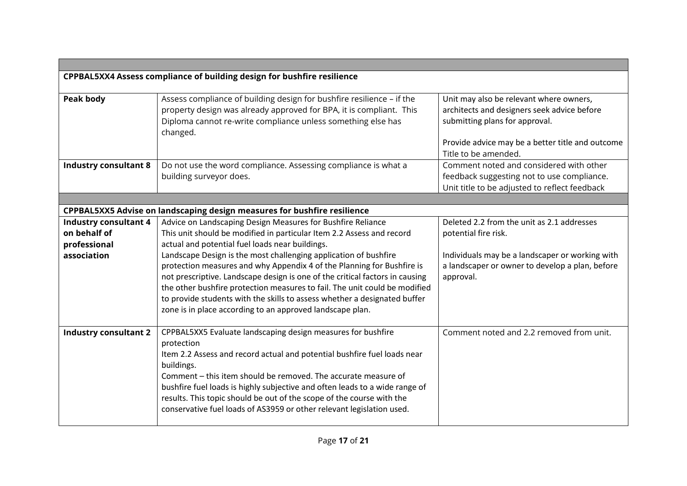| CPPBAL5XX4 Assess compliance of building design for bushfire resilience |                                                                                                                                                                                                                          |                                                                                                                                                                                                      |  |
|-------------------------------------------------------------------------|--------------------------------------------------------------------------------------------------------------------------------------------------------------------------------------------------------------------------|------------------------------------------------------------------------------------------------------------------------------------------------------------------------------------------------------|--|
| Peak body                                                               | Assess compliance of building design for bushfire resilience - if the<br>property design was already approved for BPA, it is compliant. This<br>Diploma cannot re-write compliance unless something else has<br>changed. | Unit may also be relevant where owners,<br>architects and designers seek advice before<br>submitting plans for approval.<br>Provide advice may be a better title and outcome<br>Title to be amended. |  |
| <b>Industry consultant 8</b>                                            | Do not use the word compliance. Assessing compliance is what a                                                                                                                                                           | Comment noted and considered with other                                                                                                                                                              |  |
|                                                                         | building surveyor does.                                                                                                                                                                                                  | feedback suggesting not to use compliance.                                                                                                                                                           |  |
|                                                                         |                                                                                                                                                                                                                          | Unit title to be adjusted to reflect feedback                                                                                                                                                        |  |
|                                                                         |                                                                                                                                                                                                                          |                                                                                                                                                                                                      |  |
|                                                                         | CPPBAL5XX5 Advise on landscaping design measures for bushfire resilience                                                                                                                                                 |                                                                                                                                                                                                      |  |
| <b>Industry consultant 4</b>                                            | Advice on Landscaping Design Measures for Bushfire Reliance                                                                                                                                                              | Deleted 2.2 from the unit as 2.1 addresses                                                                                                                                                           |  |
| on behalf of                                                            | This unit should be modified in particular Item 2.2 Assess and record                                                                                                                                                    | potential fire risk.                                                                                                                                                                                 |  |
| professional                                                            | actual and potential fuel loads near buildings.                                                                                                                                                                          |                                                                                                                                                                                                      |  |
| association                                                             | Landscape Design is the most challenging application of bushfire<br>protection measures and why Appendix 4 of the Planning for Bushfire is                                                                               | Individuals may be a landscaper or working with<br>a landscaper or owner to develop a plan, before                                                                                                   |  |
|                                                                         | not prescriptive. Landscape design is one of the critical factors in causing                                                                                                                                             | approval.                                                                                                                                                                                            |  |
|                                                                         | the other bushfire protection measures to fail. The unit could be modified                                                                                                                                               |                                                                                                                                                                                                      |  |
|                                                                         | to provide students with the skills to assess whether a designated buffer                                                                                                                                                |                                                                                                                                                                                                      |  |
|                                                                         | zone is in place according to an approved landscape plan.                                                                                                                                                                |                                                                                                                                                                                                      |  |
|                                                                         |                                                                                                                                                                                                                          |                                                                                                                                                                                                      |  |
| <b>Industry consultant 2</b>                                            | CPPBAL5XX5 Evaluate landscaping design measures for bushfire                                                                                                                                                             | Comment noted and 2.2 removed from unit.                                                                                                                                                             |  |
|                                                                         | protection                                                                                                                                                                                                               |                                                                                                                                                                                                      |  |
|                                                                         | Item 2.2 Assess and record actual and potential bushfire fuel loads near                                                                                                                                                 |                                                                                                                                                                                                      |  |
|                                                                         | buildings.<br>Comment – this item should be removed. The accurate measure of                                                                                                                                             |                                                                                                                                                                                                      |  |
|                                                                         | bushfire fuel loads is highly subjective and often leads to a wide range of                                                                                                                                              |                                                                                                                                                                                                      |  |
|                                                                         | results. This topic should be out of the scope of the course with the                                                                                                                                                    |                                                                                                                                                                                                      |  |
|                                                                         | conservative fuel loads of AS3959 or other relevant legislation used.                                                                                                                                                    |                                                                                                                                                                                                      |  |
|                                                                         |                                                                                                                                                                                                                          |                                                                                                                                                                                                      |  |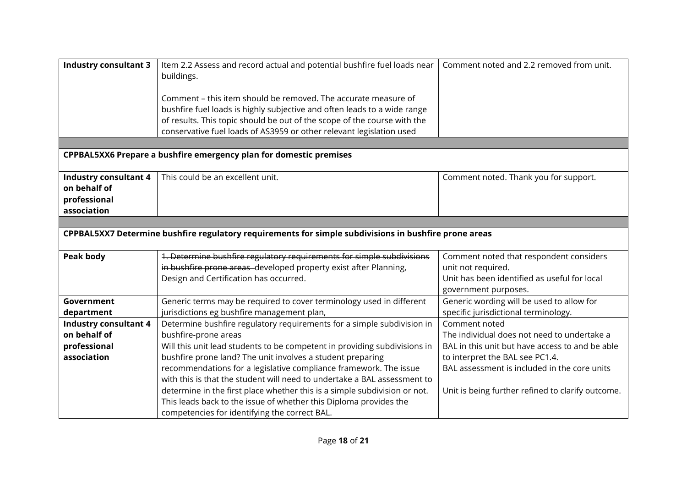| <b>Industry consultant 3</b>                                                                          | Item 2.2 Assess and record actual and potential bushfire fuel loads near<br>buildings. | Comment noted and 2.2 removed from unit.          |
|-------------------------------------------------------------------------------------------------------|----------------------------------------------------------------------------------------|---------------------------------------------------|
|                                                                                                       |                                                                                        |                                                   |
|                                                                                                       | Comment – this item should be removed. The accurate measure of                         |                                                   |
|                                                                                                       | bushfire fuel loads is highly subjective and often leads to a wide range               |                                                   |
|                                                                                                       | of results. This topic should be out of the scope of the course with the               |                                                   |
|                                                                                                       | conservative fuel loads of AS3959 or other relevant legislation used                   |                                                   |
|                                                                                                       |                                                                                        |                                                   |
|                                                                                                       | <b>CPPBAL5XX6 Prepare a bushfire emergency plan for domestic premises</b>              |                                                   |
|                                                                                                       |                                                                                        |                                                   |
| <b>Industry consultant 4</b>                                                                          | This could be an excellent unit.                                                       | Comment noted. Thank you for support.             |
| on behalf of                                                                                          |                                                                                        |                                                   |
| professional                                                                                          |                                                                                        |                                                   |
| association                                                                                           |                                                                                        |                                                   |
|                                                                                                       |                                                                                        |                                                   |
| CPPBAL5XX7 Determine bushfire regulatory requirements for simple subdivisions in bushfire prone areas |                                                                                        |                                                   |
| Peak body                                                                                             | 1. Determine bushfire regulatory requirements for simple subdivisions                  | Comment noted that respondent considers           |
|                                                                                                       | in bushfire prone areas developed property exist after Planning,                       | unit not required.                                |
|                                                                                                       | Design and Certification has occurred.                                                 | Unit has been identified as useful for local      |
|                                                                                                       |                                                                                        | government purposes.                              |
| Government                                                                                            | Generic terms may be required to cover terminology used in different                   | Generic wording will be used to allow for         |
| department                                                                                            | jurisdictions eg bushfire management plan,                                             | specific jurisdictional terminology.              |
| <b>Industry consultant 4</b>                                                                          | Determine bushfire regulatory requirements for a simple subdivision in                 | Comment noted                                     |
| on behalf of                                                                                          | bushfire-prone areas                                                                   | The individual does not need to undertake a       |
| professional                                                                                          | Will this unit lead students to be competent in providing subdivisions in              | BAL in this unit but have access to and be able   |
| association                                                                                           | bushfire prone land? The unit involves a student preparing                             | to interpret the BAL see PC1.4.                   |
|                                                                                                       | recommendations for a legislative compliance framework. The issue                      | BAL assessment is included in the core units      |
|                                                                                                       | with this is that the student will need to undertake a BAL assessment to               |                                                   |
|                                                                                                       | determine in the first place whether this is a simple subdivision or not.              | Unit is being further refined to clarify outcome. |
|                                                                                                       | This leads back to the issue of whether this Diploma provides the                      |                                                   |
|                                                                                                       | competencies for identifying the correct BAL.                                          |                                                   |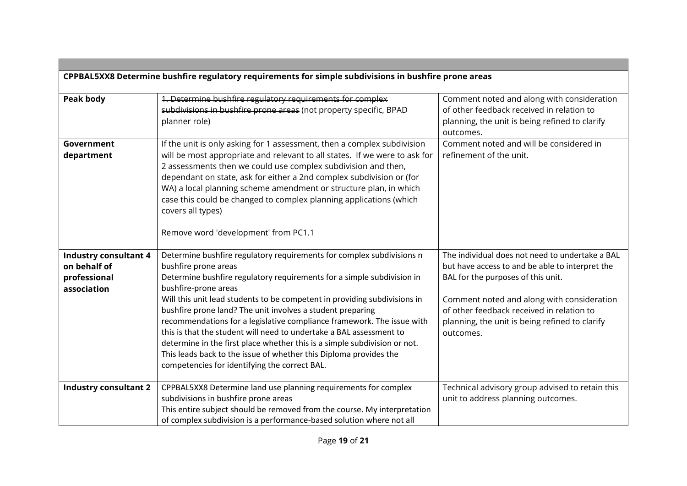| CPPBAL5XX8 Determine bushfire regulatory requirements for simple subdivisions in bushfire prone areas |                                                                                                                                                                                                                                                                                                                                                                                                                                                                                                                                                                                                                                                                                                |                                                                                                                                                                                                                                                                                                    |
|-------------------------------------------------------------------------------------------------------|------------------------------------------------------------------------------------------------------------------------------------------------------------------------------------------------------------------------------------------------------------------------------------------------------------------------------------------------------------------------------------------------------------------------------------------------------------------------------------------------------------------------------------------------------------------------------------------------------------------------------------------------------------------------------------------------|----------------------------------------------------------------------------------------------------------------------------------------------------------------------------------------------------------------------------------------------------------------------------------------------------|
|                                                                                                       |                                                                                                                                                                                                                                                                                                                                                                                                                                                                                                                                                                                                                                                                                                |                                                                                                                                                                                                                                                                                                    |
| Peak body                                                                                             | 1. Determine bushfire regulatory requirements for complex<br>subdivisions in bushfire prone areas (not property specific, BPAD<br>planner role)                                                                                                                                                                                                                                                                                                                                                                                                                                                                                                                                                | Comment noted and along with consideration<br>of other feedback received in relation to<br>planning, the unit is being refined to clarify<br>outcomes.                                                                                                                                             |
| Government<br>department                                                                              | If the unit is only asking for 1 assessment, then a complex subdivision<br>will be most appropriate and relevant to all states. If we were to ask for<br>2 assessments then we could use complex subdivision and then,<br>dependant on state, ask for either a 2nd complex subdivision or (for<br>WA) a local planning scheme amendment or structure plan, in which<br>case this could be changed to complex planning applications (which<br>covers all types)                                                                                                                                                                                                                                 | Comment noted and will be considered in<br>refinement of the unit.                                                                                                                                                                                                                                 |
|                                                                                                       | Remove word 'development' from PC1.1                                                                                                                                                                                                                                                                                                                                                                                                                                                                                                                                                                                                                                                           |                                                                                                                                                                                                                                                                                                    |
| <b>Industry consultant 4</b><br>on behalf of<br>professional<br>association                           | Determine bushfire regulatory requirements for complex subdivisions n<br>bushfire prone areas<br>Determine bushfire regulatory requirements for a simple subdivision in<br>bushfire-prone areas<br>Will this unit lead students to be competent in providing subdivisions in<br>bushfire prone land? The unit involves a student preparing<br>recommendations for a legislative compliance framework. The issue with<br>this is that the student will need to undertake a BAL assessment to<br>determine in the first place whether this is a simple subdivision or not.<br>This leads back to the issue of whether this Diploma provides the<br>competencies for identifying the correct BAL. | The individual does not need to undertake a BAL<br>but have access to and be able to interpret the<br>BAL for the purposes of this unit.<br>Comment noted and along with consideration<br>of other feedback received in relation to<br>planning, the unit is being refined to clarify<br>outcomes. |
| <b>Industry consultant 2</b>                                                                          | CPPBAL5XX8 Determine land use planning requirements for complex<br>subdivisions in bushfire prone areas<br>This entire subject should be removed from the course. My interpretation<br>of complex subdivision is a performance-based solution where not all                                                                                                                                                                                                                                                                                                                                                                                                                                    | Technical advisory group advised to retain this<br>unit to address planning outcomes.                                                                                                                                                                                                              |

**Contract Contract**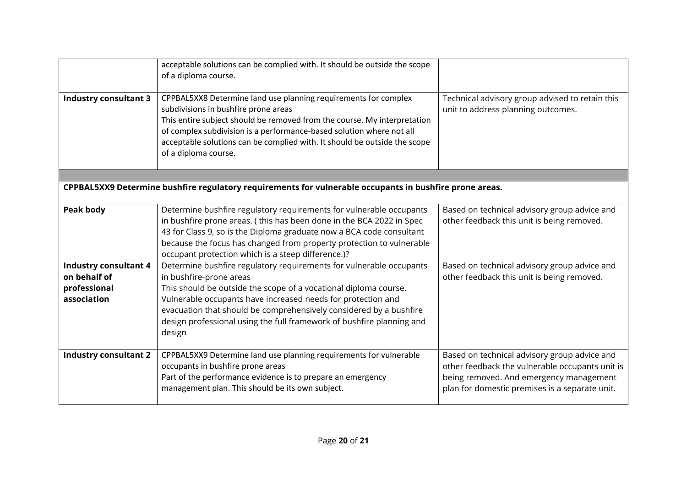|                                                                                                         | acceptable solutions can be complied with. It should be outside the scope<br>of a diploma course.                                                                                                                                                                                                                                                                                           |                                                                                                                                                                                              |
|---------------------------------------------------------------------------------------------------------|---------------------------------------------------------------------------------------------------------------------------------------------------------------------------------------------------------------------------------------------------------------------------------------------------------------------------------------------------------------------------------------------|----------------------------------------------------------------------------------------------------------------------------------------------------------------------------------------------|
| <b>Industry consultant 3</b>                                                                            | CPPBAL5XX8 Determine land use planning requirements for complex<br>subdivisions in bushfire prone areas<br>This entire subject should be removed from the course. My interpretation<br>of complex subdivision is a performance-based solution where not all<br>acceptable solutions can be complied with. It should be outside the scope<br>of a diploma course.                            | Technical advisory group advised to retain this<br>unit to address planning outcomes.                                                                                                        |
|                                                                                                         |                                                                                                                                                                                                                                                                                                                                                                                             |                                                                                                                                                                                              |
| CPPBAL5XX9 Determine bushfire regulatory requirements for vulnerable occupants in bushfire prone areas. |                                                                                                                                                                                                                                                                                                                                                                                             |                                                                                                                                                                                              |
| <b>Peak body</b>                                                                                        | Determine bushfire regulatory requirements for vulnerable occupants<br>in bushfire prone areas. (this has been done in the BCA 2022 in Spec<br>43 for Class 9, so is the Diploma graduate now a BCA code consultant<br>because the focus has changed from property protection to vulnerable<br>occupant protection which is a steep difference.)?                                           | Based on technical advisory group advice and<br>other feedback this unit is being removed.                                                                                                   |
| <b>Industry consultant 4</b><br>on behalf of<br>professional<br>association                             | Determine bushfire regulatory requirements for vulnerable occupants<br>in bushfire-prone areas<br>This should be outside the scope of a vocational diploma course.<br>Vulnerable occupants have increased needs for protection and<br>evacuation that should be comprehensively considered by a bushfire<br>design professional using the full framework of bushfire planning and<br>design | Based on technical advisory group advice and<br>other feedback this unit is being removed.                                                                                                   |
| <b>Industry consultant 2</b>                                                                            | CPPBAL5XX9 Determine land use planning requirements for vulnerable<br>occupants in bushfire prone areas<br>Part of the performance evidence is to prepare an emergency<br>management plan. This should be its own subject.                                                                                                                                                                  | Based on technical advisory group advice and<br>other feedback the vulnerable occupants unit is<br>being removed. And emergency management<br>plan for domestic premises is a separate unit. |